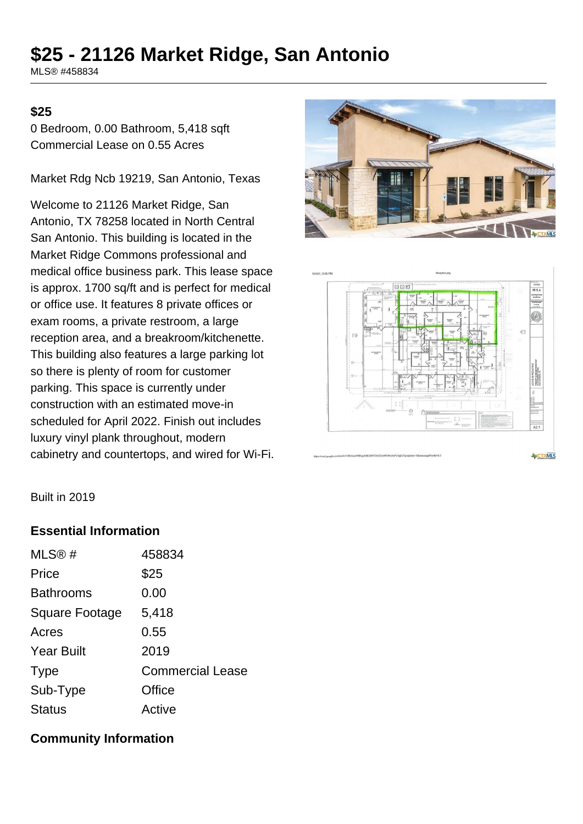# **\$25 - 21126 Market Ridge, San Antonio**

MLS® #458834

#### **\$25**

0 Bedroom, 0.00 Bathroom, 5,418 sqft Commercial Lease on 0.55 Acres

Market Rdg Ncb 19219, San Antonio, Texas

Welcome to 21126 Market Ridge, San Antonio, TX 78258 located in North Central San Antonio. This building is located in the Market Ridge Commons professional and medical office business park. This lease space is approx. 1700 sq/ft and is perfect for medical or office use. It features 8 private offices or exam rooms, a private restroom, a large reception area, and a breakroom/kitchenette. This building also features a large parking lot so there is plenty of room for customer parking. This space is currently under construction with an estimated move-in scheduled for April 2022. Finish out includes luxury vinyl plank throughout, modern cabinetry and countertops, and wired for Wi-Fi.





Built in 2019

#### **Essential Information**

| MLS@#                 | 458834                  |
|-----------------------|-------------------------|
| Price                 | \$25                    |
| <b>Bathrooms</b>      | 0.00                    |
| <b>Square Footage</b> | 5,418                   |
| Acres                 | 0.55                    |
| <b>Year Built</b>     | 2019                    |
| <b>Type</b>           | <b>Commercial Lease</b> |
| Sub-Type              | Office                  |
| <b>Status</b>         | Active                  |

#### **Community Information**